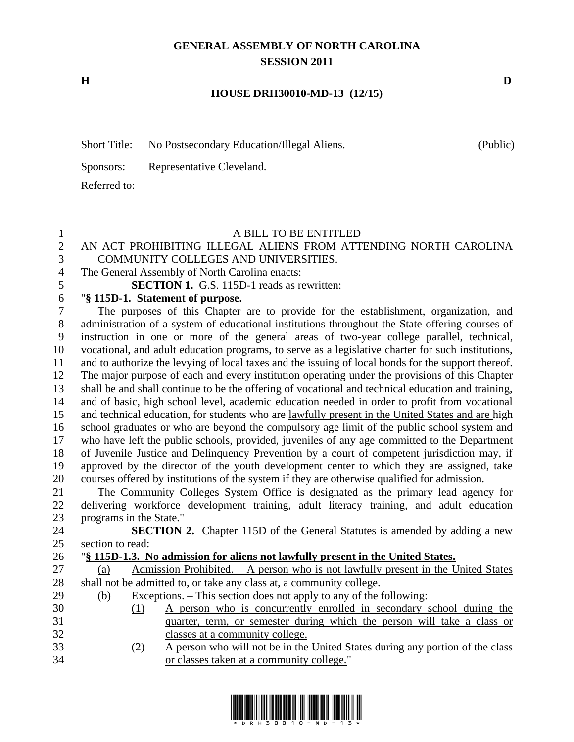## **GENERAL ASSEMBLY OF NORTH CAROLINA SESSION 2011**

**H D**

## **HOUSE DRH30010-MD-13 (12/15)**

| <b>Short Title:</b> | No Postsecondary Education/Illegal Aliens. | (Public) |
|---------------------|--------------------------------------------|----------|
| Sponsors:           | Representative Cleveland.                  |          |
| Referred to:        |                                            |          |

## A BILL TO BE ENTITLED

## 2 AN ACT PROHIBITING ILLEGAL ALIENS FROM ATTENDING NORTH CAROLINA<br>3 COMMUNITY COLLEGES AND UNIVERSITIES. COMMUNITY COLLEGES AND UNIVERSITIES. The General Assembly of North Carolina enacts: **SECTION 1.** G.S. 115D-1 reads as rewritten: "**§ 115D-1. Statement of purpose.** The purposes of this Chapter are to provide for the establishment, organization, and administration of a system of educational institutions throughout the State offering courses of instruction in one or more of the general areas of two-year college parallel, technical, vocational, and adult education programs, to serve as a legislative charter for such institutions, and to authorize the levying of local taxes and the issuing of local bonds for the support thereof. The major purpose of each and every institution operating under the provisions of this Chapter shall be and shall continue to be the offering of vocational and technical education and training, and of basic, high school level, academic education needed in order to profit from vocational and technical education, for students who are lawfully present in the United States and are high school graduates or who are beyond the compulsory age limit of the public school system and who have left the public schools, provided, juveniles of any age committed to the Department of Juvenile Justice and Delinquency Prevention by a court of competent jurisdiction may, if approved by the director of the youth development center to which they are assigned, take courses offered by institutions of the system if they are otherwise qualified for admission. The Community Colleges System Office is designated as the primary lead agency for delivering workforce development training, adult literacy training, and adult education programs in the State." **SECTION 2.** Chapter 115D of the General Statutes is amended by adding a new section to read:

| رے |     |            |                                                                                     |
|----|-----|------------|-------------------------------------------------------------------------------------|
| 26 |     |            | "\\$\, 115D-1.3. No admission for aliens not lawfully present in the United States. |
| 27 | (a) |            | Admission Prohibited. – A person who is not lawfully present in the United States   |
| 28 |     |            | shall not be admitted to, or take any class at, a community college.                |
| 29 | (b) |            | Exceptions. – This section does not apply to any of the following:                  |
| 30 |     | (1)        | A person who is concurrently enrolled in secondary school during the                |
| 31 |     |            | quarter, term, or semester during which the person will take a class or             |
| 32 |     |            | classes at a community college.                                                     |
| 33 |     | <u>(2)</u> | A person who will not be in the United States during any portion of the class       |
| 34 |     |            | or classes taken at a community college."                                           |
|    |     |            |                                                                                     |